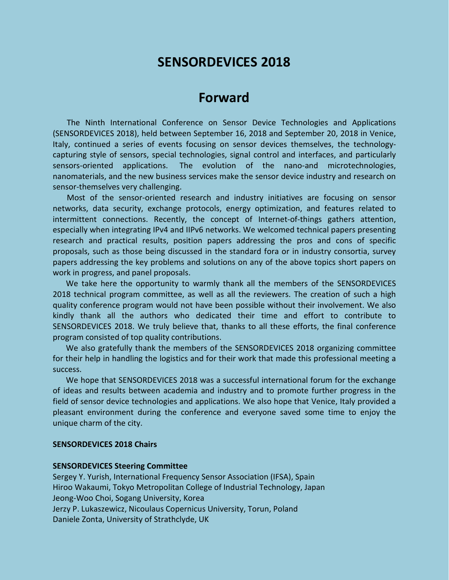# **SENSORDEVICES 2018**

## **Forward**

The Ninth International Conference on Sensor Device Technologies and Applications (SENSORDEVICES 2018), held between September 16, 2018 and September 20, 2018 in Venice, Italy, continued a series of events focusing on sensor devices themselves, the technologycapturing style of sensors, special technologies, signal control and interfaces, and particularly sensors-oriented applications. The evolution of the nano-and microtechnologies, nanomaterials, and the new business services make the sensor device industry and research on sensor-themselves very challenging.

Most of the sensor-oriented research and industry initiatives are focusing on sensor networks, data security, exchange protocols, energy optimization, and features related to intermittent connections. Recently, the concept of Internet-of-things gathers attention, especially when integrating IPv4 and IIPv6 networks. We welcomed technical papers presenting research and practical results, position papers addressing the pros and cons of specific proposals, such as those being discussed in the standard fora or in industry consortia, survey papers addressing the key problems and solutions on any of the above topics short papers on work in progress, and panel proposals.

We take here the opportunity to warmly thank all the members of the SENSORDEVICES 2018 technical program committee, as well as all the reviewers. The creation of such a high quality conference program would not have been possible without their involvement. We also kindly thank all the authors who dedicated their time and effort to contribute to SENSORDEVICES 2018. We truly believe that, thanks to all these efforts, the final conference program consisted of top quality contributions.

We also gratefully thank the members of the SENSORDEVICES 2018 organizing committee for their help in handling the logistics and for their work that made this professional meeting a success.

We hope that SENSORDEVICES 2018 was a successful international forum for the exchange of ideas and results between academia and industry and to promote further progress in the field of sensor device technologies and applications. We also hope that Venice, Italy provided a pleasant environment during the conference and everyone saved some time to enjoy the unique charm of the city.

#### **SENSORDEVICES 2018 Chairs**

#### **SENSORDEVICES Steering Committee**

Sergey Y. Yurish, International Frequency Sensor Association (IFSA), Spain Hiroo Wakaumi, Tokyo Metropolitan College of Industrial Technology, Japan Jeong-Woo Choi, Sogang University, Korea Jerzy P. Lukaszewicz, Nicoulaus Copernicus University, Torun, Poland Daniele Zonta, University of Strathclyde, UK